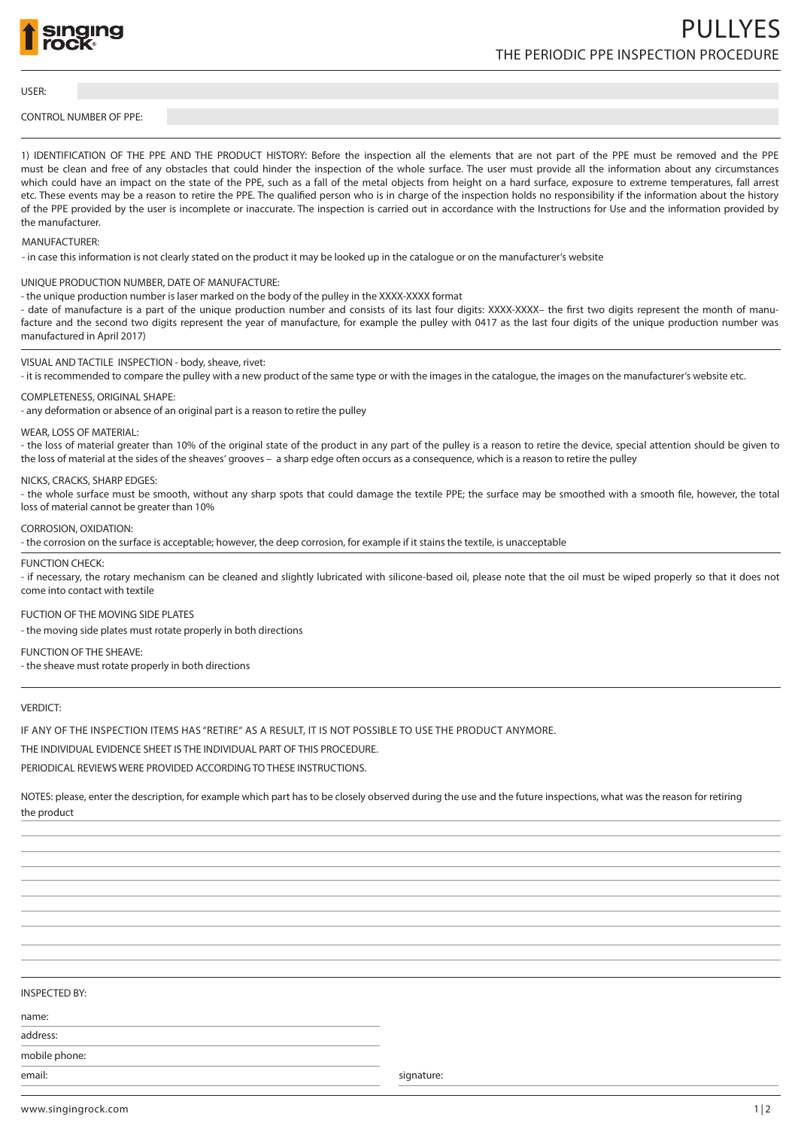

USER:

## CONTROL NUMBER OF PPE:

1) IDENTIFICATION OF THE PPE AND THE PRODUCT HISTORY: Before the inspection all the elements that are not part of the PPE must be removed and the PPE must be clean and free of any obstacles that could hinder the inspection of the whole surface. The user must provide all the information about any circumstances which could have an impact on the state of the PPE, such as a fall of the metal objects from height on a hard surface, exposure to extreme temperatures, fall arrest etc. These events may be a reason to retire the PPE. The qualified person who is in charge of the inspection holds no responsibility if the information about the history of the PPE provided by the user is incomplete or inaccurate. The inspection is carried out in accordance with the Instructions for Use and the information provided by the manufacturer.

# MANUFACTURER:

- in case this information is not clearly stated on the product it may be looked up in the catalogue or on the manufacturer's website

## UNIQUE PRODUCTION NUMBER, DATE OF MANUFACTURE:

- the unique production number is laser marked on the body of the pulley in the XXXX-XXXX format

- date of manufacture is a part of the unique production number and consists of its last four digits: XXXX-XXXX– the first two digits represent the month of manufacture and the second two digits represent the year of manufacture, for example the pulley with 0417 as the last four digits of the unique production number was manufactured in April 2017)

# VISUAL AND TACTILE INSPECTION - body, sheave, rivet:

- it is recommended to compare the pulley with a new product of the same type or with the images in the catalogue, the images on the manufacturer's website etc.

#### COMPLETENESS, ORIGINAL SHAPE:

- any deformation or absence of an original part is a reason to retire the pulley

## WEAR, LOSS OF MATERIAL:

- the loss of material greater than 10% of the original state of the product in any part of the pulley is a reason to retire the device, special attention should be given to the loss of material at the sides of the sheaves' grooves – a sharp edge often occurs as a consequence, which is a reason to retire the pulley

#### NICKS, CRACKS, SHARP EDGES:

- the whole surface must be smooth, without any sharp spots that could damage the textile PPE; the surface may be smoothed with a smooth file, however, the total loss of material cannot be greater than 10%

#### CORROSION, OXIDATION:

- the corrosion on the surface is acceptable; however, the deep corrosion, for example if it stains the textile, is unacceptable

## FUNCTION CHECK:

- if necessary, the rotary mechanism can be cleaned and slightly lubricated with silicone-based oil, please note that the oil must be wiped properly so that it does not come into contact with textile

# FUCTION OF THE MOVING SIDE PLATES

- the moving side plates must rotate properly in both directions

# FUNCTION OF THE SHEAVE:

- the sheave must rotate properly in both directions

## VERDICT:

IF ANY OF THE INSPECTION ITEMS HAS "RETIRE" AS A RESULT, IT IS NOT POSSIBLE TO USE THE PRODUCT ANYMORE.

THE INDIVIDUAL EVIDENCE SHEET IS THE INDIVIDUAL PART OF THIS PROCEDURE.

PERIODICAL REVIEWS WERE PROVIDED ACCORDING TO THESE INSTRUCTIONS.

NOTES: please, enter the description, for example which part has to be closely observed during the use and the future inspections, what was the reason for retiring the product

# INSPECTED BY:

name:

address:

mobile phone:

email: signature: